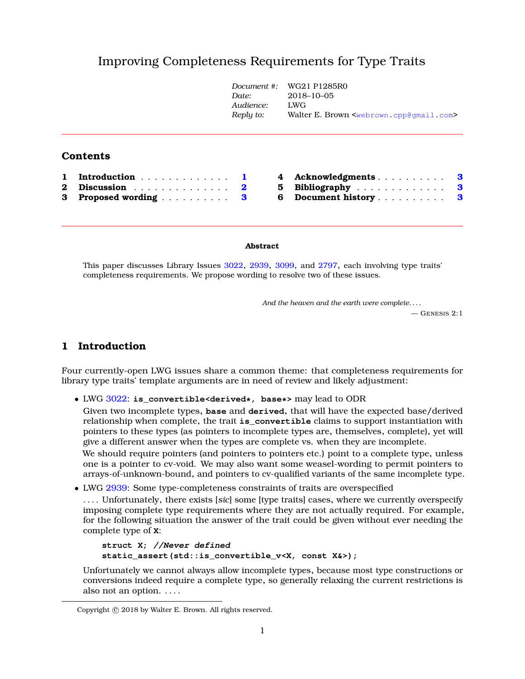# Improving Completeness Requirements for Type Trait[s](#page-0-0)

|          |                     | Document #:<br>Date:<br>Audience:<br>Reply to: | WG21 P1285R0<br>$2018 - 10 - 05$<br>LWG<br>Walter E. Brown <webrown.cpp@gmail.com></webrown.cpp@gmail.com> |
|----------|---------------------|------------------------------------------------|------------------------------------------------------------------------------------------------------------|
|          | <b>Contents</b>     |                                                |                                                                                                            |
| 1        | Introduction        | 4                                              | Acknowledgments                                                                                            |
| $\bf{2}$ | Discussion $\ldots$ | 5<br>$\mathbf{2}$                              | Bibliography<br>3                                                                                          |
| 3        | Proposed wording    | 6<br>3                                         | Document history<br>з                                                                                      |

#### **Abstract**

This paper discusses Library Issues [3022](http://wg21.link/lwg3022), [2939](http://wg21.link/lwg2939), [3099](http://wg21.link/lwg3099), and [2797](http://wg21.link/lwg2797), each involving type traits' completeness requirements. We propose wording to resolve two of these issues.

*And the heaven and the earth were complete. . . .*

 $-$  GENESIS 2:1

### <span id="page-0-1"></span>**1 Introduction**

Four currently-open LWG issues share a common theme: that completeness requirements for library type traits' template arguments are in need of review and likely adjustment:

• LWG [3022:](http://wg21.link/lwg3022) **is\_convertible<derived\*, base\*>** may lead to ODR

Given two incomplete types, **base** and **derived**, that will have the expected base/derived relationship when complete, the trait **is\_convertible** claims to support instantiation with pointers to these types (as pointers to incomplete types are, themselves, complete), yet will give a different answer when the types are complete vs. when they are incomplete.

We should require pointers (and pointers to pointers etc.) point to a complete type, unless one is a pointer to cv-void. We may also want some weasel-wording to permit pointers to arrays-of-unknown-bound, and pointers to cv-qualified variants of the same incomplete type.

• LWG [2939:](http://wg21.link/lwg2939) Some type-completeness constraints of traits are overspecified

. . . . Unfortunately, there exists [*sic*] some [type traits] cases, where we currently overspecify imposing complete type requirements where they are not actually required. For example, for the following situation the answer of the trait could be given without ever needing the complete type of **X**:

```
struct X; //Never defined
static_assert(std::is_convertible_v<X, const X&>);
```
Unfortunately we cannot always allow incomplete types, because most type constructions or conversions indeed require a complete type, so generally relaxing the current restrictions is also not an option. . . . .

<span id="page-0-0"></span>Copyright © 2018 by Walter E. Brown. All rights reserved.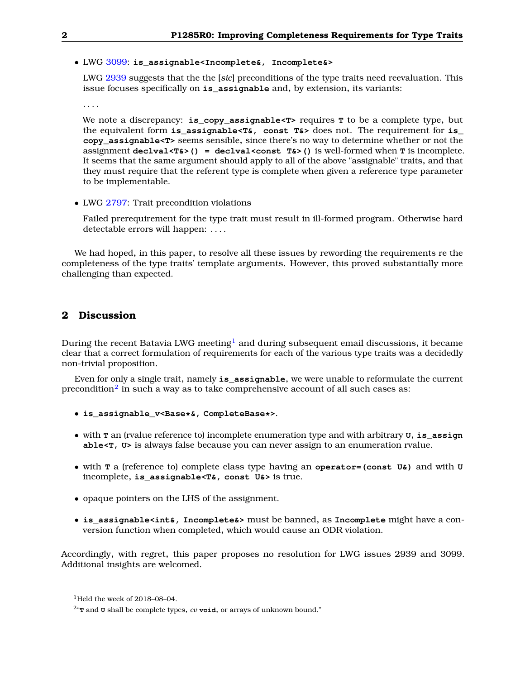• LWG [3099:](http://wg21.link/lwg3099) **is\_assignable<Incomplete&, Incomplete&>**

LWG [2939](http://wg21.link/lwg2939) suggests that the the [*sic*] preconditions of the type traits need reevaluation. This issue focuses specifically on **is\_assignable** and, by extension, its variants:

. . . .

We note a discrepancy: **is\_copy\_assignable<T>** requires **T** to be a complete type, but the equivalent form **is\_assignable<T&, const T&>** does not. The requirement for **is\_ copy\_assignable<T>** seems sensible, since there's no way to determine whether or not the assignment **declval<T&>() = declval<const T&>()** is well-formed when **T** is incomplete. It seems that the same argument should apply to all of the above "assignable" traits, and that they must require that the referent type is complete when given a reference type parameter to be implementable.

• LWG [2797:](http://wg21.link/lwg2797) Trait precondition violations

Failed prerequirement for the type trait must result in ill-formed program. Otherwise hard detectable errors will happen: . . . .

<span id="page-1-0"></span>We had hoped, in this paper, to resolve all these issues by rewording the requirements re the completeness of the type traits' template arguments. However, this proved substantially more challenging than expected.

### **2 Discussion**

During the recent Batavia LWG meeting<sup>[1](#page-1-1)</sup> and during subsequent email discussions, it became clear that a correct formulation of requirements for each of the various type traits was a decidedly non-trivial proposition.

Even for only a single trait, namely **is\_assignable**, we were unable to reformulate the current precondition $^2$  $^2$  in such a way as to take comprehensive account of all such cases as:

- **is\_assignable\_v<Base\*&, CompleteBase\*>**.
- with **T** an (rvalue reference to) incomplete enumeration type and with arbitrary **U**, **is\_assign able<T, U>** is always false because you can never assign to an enumeration rvalue.
- with **T** a (reference to) complete class type having an **operator=(const U&)** and with **U** incomplete, **is\_assignable<T&, const U&>** is true.
- opaque pointers on the LHS of the assignment.
- **is\_assignable<int&, Incomplete&>** must be banned, as **Incomplete** might have a conversion function when completed, which would cause an ODR violation.

Accordingly, with regret, this paper proposes no resolution for LWG issues 2939 and 3099. Additional insights are welcomed.

<span id="page-1-1"></span><sup>&</sup>lt;sup>1</sup>Held the week of 2018-08-04.

<span id="page-1-2"></span> $^{2}$  **T** and  $\sigma$  shall be complete types,  $cv$  void, or arrays of unknown bound."